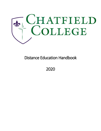

# Distance Education Handbook

2020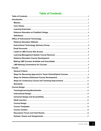## <span id="page-1-0"></span>**Table of Contents**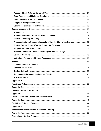| Process of Adding/Changing Instructors After the Start of the Semester  21 |  |
|----------------------------------------------------------------------------|--|
|                                                                            |  |
|                                                                            |  |
|                                                                            |  |
|                                                                            |  |
|                                                                            |  |
|                                                                            |  |
|                                                                            |  |
|                                                                            |  |
|                                                                            |  |
|                                                                            |  |
|                                                                            |  |
|                                                                            |  |
|                                                                            |  |
|                                                                            |  |
|                                                                            |  |
|                                                                            |  |
|                                                                            |  |
|                                                                            |  |
|                                                                            |  |
|                                                                            |  |
|                                                                            |  |
|                                                                            |  |
|                                                                            |  |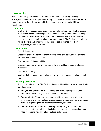#### <span id="page-4-0"></span>**Introduction**

The policies and guidelines in this Handbook are updated regularly. Faculty and employees who deliver or support the delivery of distance education are expected to remain aware of the policies and guidelines summarized in this and additional handbooks.

#### <span id="page-4-1"></span>**Mission**

Chatfield College is an open-enrollment Catholic college, rooted in the Legacy of the Ursuline Sisters, believing in the potential of every person, and accepting of people of all faiths. We offer a small collaborative learning environment with a deep sense of community, and personalized support. Chatfield meets students where they are and empowers individuals to better themselves, their employability, and their futures.

#### <span id="page-4-2"></span>**Core Values**

Faith & Community

Create an academic community that fosters moral and spiritual development, along with educational success.

Empowerment & Accountability

Empower students to rely on their own skills and abilities to build productive, successful lives.

Learning & Growing

Inspire a lifelong commitment to learning, growing and succeeding in a changing world.

#### <span id="page-4-3"></span>**Learning Outcomes**

Through an education at Chatfield, graduates will be able to achieve the following learning outcomes:

- 1. **Analyze and Synthesize** by examining and distinguishing constituent elements and combining parts of elements into a whole.
- 2. **Communicate Effectively** by exchanging ideas, thoughts, opinions or feelings among multiple cultural groups, including one's own, using language, symbols, signs or gestures appropriate for everyday living.
- 3. **Demonstrate Intercultural Knowledge** by engaging in behavior that encourages effective relationships in both one-to-one and group situations while respecting intercultural and cultural differences.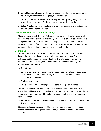- 4. **Make Decisions Based on Values** by discerning what the individual prizes as ethical, socially worthwhile, good, beautiful and true.
- 5. **Cultivate Understanding of Human Expression** by integrating individual spiritual, cognitive, and affective responses to experience of the arts.
- 6. **Solve Problems** by finding solutions to complex questions or situations that present uncertainty or difficulty.

#### <span id="page-5-0"></span>**Distance Education at Chatfield College**

Distance education at Chatfield College is a formal educational process in which students and instructors interact remotely. The instruction may be synchronous or asynchronous. Various methods such as print-based material, audio-visual resources, video conferencing, and computer technologies may be used, either independently or in blended modalities, to serve students.

#### <span id="page-5-1"></span>**Definitions**

**Distance education** – Education that uses one or more of the technologies listed below to deliver instruction to students who are separated from the instructor and to support regular and substantive interaction between the students and the instructor, either synchronously or asynchronously. The technologies may include:

- The internet.
- One-way and two-way transmissions through open broadcast, closed circuit, cable, microwave, broadband lines, fiber optics, satellite or wireless communication devices.
- Audio conferencing.
- DVDs and CD-ROMs, digital publisher content, 3<sup>rd</sup> party websites.

**Distance-delivered courses** – Courses in which 50 percent or more of the instruction and interaction occurs via electronic communication, correspondence or equivalent mechanisms, with the faculty and students physically separated from each other.

**Online courses** – Distance-delivered courses in which the Internet serves as the medium of instruction.

**Distance-delivered programs** – Certificate or degree programs in which 50 percent or more of the required courses may be taken as distance-delivered courses.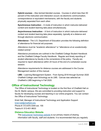**Hybrid courses** – Also termed blended courses. Courses in which less than 50 percent of the instruction and interaction occurs via electronic communication, correspondence or equivalent mechanisms, with the faculty and students physically separated from each other.

**Synchronous Instruction** – A mode of instruction in which instructor-delivered content and student learning take place simultaneously.

**Asynchronous Instruction** – A form of instruction in which instructor-delivered content and student learning take place separately, typically at a distance and through electronic communication.

**Attendance -** The U.S. Department of Education provides the following definition of attendance for financial aid purposes:

*Attendance must be "academic attendance" or "attendance at an academicallyrelated activity".* 

Attendance procedures are outlined in the Chatfield College Student Handbook and the Chatfield College Faculty Handbook. Regular and timely reporting of student attendance by faculty is the cornerstone of the policy. Faculty are required to report attendance within 24 hours of the end of a scheduled course session.

Attendance requirements for distance courses are addressed in the Course Management section of this manual.

**LMS –** Learning Management System. From Spring 2018 through Summer 2020 Chatfield College used Schoology as its LMS. Canvas was selected as Chatfield's LMS beginning in Fall 2020.

#### <span id="page-6-0"></span>**Office of Instructional Technology**

The Office of Instructional Technology is located on the first floor of Chatfield Hall on the St. Martin campus. We are committed to providing instruction and support to faculty for developing courses and teaching in our online programs. You can contact the Office of Instructional Technology:

Kristi Hall, Manager of Instructional Technology and Application Support [kristi.hall@chatfield.edu](mailto:kristi.hall@chatfield.edu) Phone #: 513-875-3344 ext. 155 Teams #: 513-401-9633

#### <span id="page-6-1"></span>**Distance Education Website**

The [Instructional Technology website](https://chatfieldcollege.sharepoint.com/sites/InstTech/SitePages/Are-You-Ready-.aspx) is our primary means of sharing information with faculty, staff and students. It is recommended that you regularly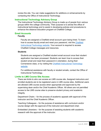review the site. You can make suggestions for additions or enhancements by contacting the Office of Instructional Technology.

#### <span id="page-7-0"></span>**Instructional Technology Advisory Group**

The Instructional Technology Advisory Group is made up of people from various groups within the college community. Their purpose is to advise the office of instructional technology and to assist in developing policies and procedures to enhance the distance education program at Chatfield College.

#### <span id="page-7-1"></span>**Email Accounts**

#### **Faculty**

Faculty are assigned a Chatfield email account upon being hired. To learn how to access faculty email and reset your password, visit the [Chatfield](https://chatfieldcollege.sharepoint.com/sites/InstTech)  [Instructional Technology website.](https://chatfieldcollege.sharepoint.com/sites/InstTech) Your account is required to access Chatfield College messages and resources.

#### **Students**

Students are assigned a Chatfield student email account once their student application has been processed. Students can learn how to access their student email and reset their password in orientation, during their Cornerstone class, or by visiting the [Chatfield Instructional Technology](https://chatfieldcollege.sharepoint.com/sites/InstTech)  [website.](https://chatfieldcollege.sharepoint.com/sites/InstTech)

For additional assistance with faculty or student emails, contact the Office of Instructional Technology.

#### <span id="page-7-2"></span>**Limits to LMS Course Site Access**

There are limits to who can access an LMS course site. Assigned instructors and enrolled students are to be registered users in LMS course sites. Additional users are allowed LMS course access when appropriate and approved by the supervising dean and/or the Chief Academic Officer. All others are not permitted access to the LMS course sites to preserve student privacy and academic integrity.

Department Chairs – for the process of academic appeals with approval of the instructor and the Chief Academic Officer.

Teaching Colleagues – for the purpose of assistance with curriculum and/or course design with the approval of the instructor and department chair.

Embedded Librarians – for the purpose of assisting students with academic research with the approval of the instructor.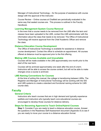Manager of Instructional Technology – for the purpose of assistance with course design with the approval of the instructor.

Course Review – Online courses at Chatfield are periodically evaluated in the same way that seated courses are. This process is outlined in the Faculty Handbook.

#### <span id="page-8-0"></span>**Learning Management System Course Removal**

In the even that a course needs to be removed from the LMS after the term and classes have been uploaded to the LMS, contact the LMS administrator with the information about the class that needs to be removed. The Office of Instructional Technology will receive approval from the Chief Academic Officer and remove the class.

#### <span id="page-8-1"></span>**Distance Education Course Development**

The Office of Instructional Technology is available for assistance in distance course development. Contact the office to schedule an appointment. All courses offered at distance must be approved prior to the first offering.

#### <span id="page-8-2"></span>**Making LMS Courses Available and Unavailable**

Courses will be made available in the LMS approximately one month prior to the start of the next term.

Courses will be archived approximately one week after the end of a term. Instructors will be able to access the course content, but will not be able to make changes once a course is archived.

#### <span id="page-8-3"></span>**LMS Naming Conventions for Courses**

At the time of writing this manual, the college is transitioning between LMSs. The Registrar and Manager of Instructional Technology will be working with the SIS and LMS systems to create a standard and functional naming scheme for LMS course sites.

#### <span id="page-8-5"></span><span id="page-8-4"></span>**Faculty**

#### **General Criteria**

Instructors who teach courses that are in high demand and typically experience waitlists and instructors who typically teach core educational courses are encouraged to develop those courses for distance delivery.

#### <span id="page-8-6"></span>**Steps for Becoming Approved to Teach Online/Hybrid Courses**

**Step 1:** Consider if you are ready to teach a distance education course. Answer the questions in the Readiness Self-Assessment document (Appendix A) to see if you are ready to move your course to a distance education format.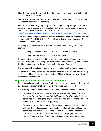**Step 2:** Inform your Department Chair that you wish to become eligible to teach online classes at Chatfield.

**Step 3:** The Department Chair should notify the Chief Academic Officer and the Manager of Instructional Technology.

**Step 4:** Chatfield College regularly offers training to faculty through coursework based on best practices, and which aligns with widely-recognized standards of distance and online education (for example, see: [https://www.qualitymatters.org/qa-resources/rubric-standards/higher-ed-rubric\)](https://www.qualitymatters.org/qa-resources/rubric-standards/higher-ed-rubric) 

Even if you have taught a distance-delivered classes previously, training may still be required by Chatfield College. This training will serve as an instance of professional development.

All faculty at Chatfield will be required to complete the following 2 training courses:

Learning Canvas and the Chatfield LMS – 2 weeks to complete.

Learning to Use Portfolium – 1 week to complete.

To teach online, faculty will additionally be required to take a 3-week training entitled Online Teaching Pedagogy. It is recommended that faculty complete this third training prior to developing a course for distance offering.

The Manger of Instructional Technology will schedule the training courses.

All faculty must complete all training prior to teaching at a distance. This training is offered multiple times a year at the college. This training counts toward your professional development.

#### <span id="page-9-0"></span>**Steps for Distance-Delivered Course Development**

The process is summarized below. Each proposed or existing course, if delivered by distance education, shall be separately reviewed and approved.

The following will be considered in the approval process for distance delivery:

- 1. Completed Distance Course Proposal form (Appendix B) and Distance-Delivered Course Compliance Rubric (Appendix C). (Appendix C will be completed by an assigned, experienced reviewer, and the completed form will be used as part of course approval.)
- 2. Request approval of the course. The Curriculum Committee, in conjunction with the Office of Assessment and academic administration, will use the completed form included in Appendix B and the Rubric in Appendix C, policies related to ALL courses offered at the College (regardless of modality), and a review of the proposed distance-delivery course in the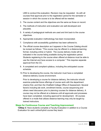LMS to conduct the evaluation. Revision may be requested. As with all courses final approval prior to the registration period for the semester or session in which the course is to be offered will be needed.

- 3. The course content and the objectives are the same as those on record.
- 4. The methods of instruction and evaluation are well-developed and plausible.
- 5. A variety of pedagogical methods are used and link back to the course objectives.
- 6. Appropriate evaluation methodology has been incorporated.
- 7. Compliance with accessibility guidelines has been adhered to.
- 8. The official course description as it appears in the Course Catalog should be revised as follows: "This course may be offered in a distance-learning format, including online or hybrid. The course delivery mode will be indicated in the course listing available during the registration period. Students registering to the course when offered at distance must be able to use the Internet and have access to a computer." This requires separate approval from the CC.
- 9. A completed and compliant syllabus, including the anticipated course schedule.
- 10.Prior to developing the course, the instructor must have a completed distance-delivery course environment.

Prior to developing a course for distance delivery, the instructor should examine potential future offerings of course work with the department chair(s) first, and then the Chatfield College Office of Assessment. Several factors including lab work, enrollment trends, course sequencing and others need discussion prior to planning courses for distance delivery. A course may not be offered at a distance until all approvals and processes have been completed, including approval for development. All courses offered in a mode that utilizes distance learning may only be taught by trained instructors.

#### <span id="page-10-0"></span>**Steps for Continuous Course and Teaching Improvement**

**12Step 3:** Have students complete a Faculty Evaluation in addition to a Course Evaluation for each online/hybrid course they teach.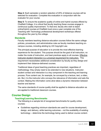**Step 4:** Each semester a random selection of 20% of distance courses will be selected for evaluation. Complete this evaluation in conjunction with the evaluator for your course.

**Step 5:** To ensure the academic quality of online and hybrid courses offered by Chatfield College, it is critical that faculty teaching these courses engage in continuous quality improvement. To that end, faculty who wish to teach online/hybrid courses at Chatfield must once a year complete one of the Teaching with Technology professional development workshops offered throughout the year by the college.

#### <span id="page-11-0"></span>**Standards**

Faculty members teaching distance education courses follow the same college policies, procedures, and administrative rules as faculty members teaching oncampus courses, including abiding by US Copyright Law.

The principal purpose of education is to provide the most effective learning experience for the student. This purpose should be the goal of all instruction, no matter the mode of instruction, and best practices apply to all courses. **Effective** instructor-student interaction is a universal requirement for instruction. This requirement necessitates additional consideration by faculty as they design and implement their distance-delivered courses.

Traditional ideas of good teaching practices are important, regardless of methodology: they simply need to be extended to new situations. Instructorstudent contact and interaction is a key component in the teaching and learning process. Pure content can, for example, be conveyed by a lecture, text, a video, etc. But, it is the instructor who conveys the relevance of information and sets the context. Making the information come alive takes a dynamic interaction between teacher and learner.

The same standards of course quality shall be applied to distance education as are applied to traditional classroom courses.

#### <span id="page-11-2"></span><span id="page-11-1"></span>**Course Design**

#### **Teaching/Learning Benchmarks**

The following is a sample list of recognized benchmarks for quality online courses:

● Guidelines regarding minimum standards are used for course development, design, and delivery, while learning outcomes – not the availability of existing technology – determine the technology being used to deliver course content.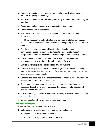- Courses are designed with a consistent structure, easily discernable to students of varying learning styles.
- Instructional materials are reviewed periodically to ensure they meet program standards.
- Active learning techniques are incorporated into the course.
- Communicate high expectations.
- Before starting a distance-delivered course, students are advised to determine

(1) if they possess the self-motivation and commitment to learn at a distance, and (2) if they have access to the minimal technology required by the course design.

- Faculty will set completion deadlines for student assignments and communicate those expectations to students. Feedback to student assignments and questions is constructive and provided in a timely manner.
- Student interaction with faculty and other students is an essential characteristic and is facilitated through a variety of ways
- Course materials promote collaboration among students.
- Courses are separated into self-contained segments (modules of varying lengths determined by the complexity of the learning outcomes) that can be used to assess student mastery
- Students are instructed in the proper methods of effective research, including assessment of the validity of resources.
- The program's educational effectiveness and teaching/learning process is assessed through an evaluation process that uses several methods and applies specific standards.
- Student learning outcomes are reviewed regularly to ensure clarity, utility, and appropriateness.
- Diverse talents and ways of learning are respected.

#### <span id="page-12-0"></span>**Instructional Design**

There are four main areas to be considered:

- 1. Determination of goals, objectives, and learning outcomes
	- a. What do I want my students to know?
	- b. What do I want my students to be able to do?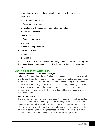- c. What do I want my students to think as a result of the instruction?
- 2. Analysis of the
	- a. Learner characteristics
	- b. Context of the learner
	- c. Problem and the accompanying needed knowledge
	- d. Instructor variables
- 3. Selection of
	- a. Teaching strategies
	- b. Content
	- c. Assessment procedures
- 4. Evaluation by the
	- a. Instructor
	- b. Institution

The principles of Universal Design for Learning should be considered throughout the course development process, including for each of the components listed below.

#### <span id="page-13-0"></span>**Universal Design and Accessibility**

#### *What is Universal Design for Learning?*

Universal Design for Learning (UDL) is a conscious process of designing learning in order to achieve the highest level of functionality and positive user experience for the widest audience. In order for UDL to be effective, it requires purposeful consideration and strategy in all areas of course planning and design. The end result will be online learning that allows students to access, interact, and learn in a variety of ways, addressing the learning styles and learning needs of a wide variety of students.

#### *Why is UDL used?*

The brain learns in complex and varied ways. According to research conducted by CAST, a nonprofit research organization, learning occurs as a result of the workings of three brain networks: recognition networks, strategic networks, and affective networks. In order to activate and address these three networks in the process of learning (and knowing that these systems don't work alike in any two people), it makes sense to provide for multiple means of representation,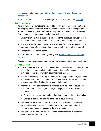expression, and engagement [\(https://odee.osu.edu/universal-design-and](https://odee.osu.edu/universal-design-and-accessibility)[accessibility\)](https://odee.osu.edu/universal-design-and-accessibility).

For more information on Universal Design for Learning (UDL) visit [Cast.org.](http://www.cast.org/our-work/about-udl.html#.Xoyo5MhKiUl)

#### <span id="page-14-0"></span>**Adult Learners**

Keep in mind that your students, by and large, are adults whose orientation to learning is problem centered. They may have a self-concept of being responsible for their own learning even though they may need some help with this initially. Some suggestions for course development include:

- Design for interaction to include a balance of the dialogues between faculty and student, student and student, and student and learning resources.
- The role of the faculty as mentor, manager, and facilitator is dominant. The students prefer a focus on problem-based learning, with help as needed.
- Design for continuity of learning.

To learn more about adult learning theory, see [Teaching Excellence in Adult](https://lincs.ed.gov/sites/default/files/11_%20TEAL_Adult_Learning_Theory.pdf)  [Literacy.](https://lincs.ed.gov/sites/default/files/11_%20TEAL_Adult_Learning_Theory.pdf)

Additional information regarding adult learners appears later in this Handbook.

#### <span id="page-14-1"></span>**Course Design**

- Students are provided with course information that outlines course objectives, concepts, and ideas, and student learning outcomes for the course are summarized in a clearly written, straightforward manner.
- The course is designed to require students to engage in analysis, synthesis, and evaluation, or skill building as part of their course requirements. Students are encouraged to reflect and re-evaluate their learning.
- Interactive course components are included, such as e-mail discussions, online threaded discussion, field trips, meetings, or other interactive components.
	- Activities require student-to-student and/or student-instructor interaction.
	- Course is designed using the principles of adult learning.
- Assignments move from simple to complex and are clearly aligned with expected learning outcomes; included are appropriate required and recommended readings, assignments, and projects.
- Assignments are required as well as tests or other means of gathering evidence of learning outcomes.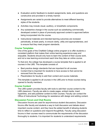- Evaluation and/or feedback to student assignments, tests, and questions are constructive and provided in a timely manner.
- Assignments are varied to provide alternatives to meet different learning styles of the students.
- Activities may include visual, auditory, or kinesthetic components.
- Any substantive change in the course such as substituting commercially developed content in place of previously approved content is approved before being incorporated into the course.
- Instructional materials and intended learning outcomes are reviewed periodically, at least yearly, to ensure clarity, utility and appropriateness, and to ensure that they meet program standards.

#### <span id="page-15-0"></span>**Course Templates**

One of the goals of the Chatfield College online program is to offer students a consistent platform that makes their online learning experience easy and enjoyable. Students should only have to learn the content of their course work, and not a new learning environment each time they take an online course.

To that end, the college has developed a course template that is applied to all courses in the LMS. This template consists of:

- Best practice design standards that are important for all courses.
- Content that is important for students to have access to that cannot be removed from the course.
- Placeholders for faculty to add their content and course materials.

This template is applied to all courses in the LMS prior to those courses being opened to faculty members.

#### <span id="page-15-1"></span>**Course Content**

The LMS system provides faculty with tools to add their course content to the LMS classroom. Faculty are able to create pages, embed media, insert hyperlinks, and add publisher content to their courses. Faculty can contact the Office of Instructional Technology for assistance with design and adding content.

#### <span id="page-15-2"></span>**Discussion Forum and Chat Rooms**

Discussion forums are used for asynchronous student discussions. Discussion forums offer faculty and students a way to hold discussion and debate about important course content, and they have the added benefit of allowing students time to reflect on questions and respond thoughtfully. Faculty using discussion forums in their courses need to communicate the requirements of the discussion thoroughly to students. It is important for students to understand requirements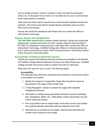such as length of posts, minimum number of posts, the date the discussion closes, etc. A discussion forum rubric is an excellent tool to use to communicate those requirements to students.

Chat rooms are tools used for synchronous communication between faculty and students. Chat rooms work well for student-faculty interaction such as online office hours and tutoring.

Faculty who would like assistance with these tools can contact the Office of Instructional Technology.

#### <span id="page-16-0"></span>**Quizzes, Exams and Assignments**

The LMS offers several tools to assess student learning. Faculty can incorporate assignments, quizzes and exams into their courses using the tools provided in the LMS. For assistance in learning how to use these tools, contact the Office of Instructional Technology. Chatfield College also offers an online proctoring tool and in person proctoring for exams. See Proctoring Exams in the Student section of this manual for more information.

#### <span id="page-16-1"></span>**Accessibility of Distance-Delivered Courses**

Federal law requires that distance learning courses be accessible to all students. All Chatfield College distance-delivered courses must follow these laws. Chatfield College provides resources as well as support services for instructors.

What does this mean for your course? The following apply:

#### *Accessibility*

The following items should be considered and checked to ensure that content is accessible to all visitors:

- 1. Identify the presence of page titles. Page titles should be unique as appropriate to the page content and/or task.
- 2. A "Skip Navigation" solution is present for pages with repeated navigational elements.
- 3. Information is marked using appropriate semantic structure (headings, lists, paragraphs, tables, etc.). Data tables contain appropriate row and column structural markup.
- 4. Form input fields have an explicit label. Instructions and/or input details are programmatically associated with the respective form field.
- 5. Alternate text is provided for all images. Alternate text describes the content and/or purpose of the image.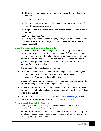- 6. Hyperlinks offer descriptive link text or are associated with descriptive link text.
- 7. Videos have captions.
- 8. Text and images (except logos) meet color contrast requirements of 4.5:1 (foreground/background).
- 9. Page content is still perceivable when Windows High Contrast Mode is enabled.

#### *Media and Accessibility*

Any faculty using media, such as images, audio, and video can contact the Office of Instructional Technology for assistance in making their media content accessible.

#### <span id="page-17-0"></span>**Good Practices and Minimum Standards**

It must be understood that teaching methods that are highly effective in the classroom may not carry over to distance learning. Different methods may need to be employed in order to have the same learning outcomes. Student profiles may be different as well. The following guidelines can be used to guide the development of distance learning courses as well as provide a structure for course evaluation.

The purpose of these guidelines is threefold:

- Guide the development of distance-delivered, especially online and hybrid courses, programs and student services to ensure that they exhibit characteristics of quality teaching and learning;
- Ensure that student learning in distance-delivered courses is comparable to student learning in traditional on-campus courses, and;
- Provide a standard for reviewing the quality of a program, course, or related student service offered at a distance in accordance with the Chatfield College Mission and Values.
- Other resources: Web Accessibility Initiative (http://www.w3.org/WAI/) and Center for Applied Special Technology (http://www.cast.org/).

#### <span id="page-17-1"></span>**Evaluating Online/Hybrid Courses**

To ensure high quality course offerings, all distance education classes will be periodically evaluated by students and by the college.

**Student Evaluations** – students are asked to evaluate all courses they are enrolled in each semester. Those evaluation results will be provided to the faculty by the department chairs.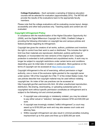**College Evaluations** – Each semester a sampling of distance education courses will be selected for evaluation (approximately 20%). The MITAS will provide the results of the evaluations back to the appropriate faculty members.

Please note that the college evaluations will be evaluating course layout, design, accessibility and other best practices only. Teaching styles and content are not evaluated.

#### <span id="page-18-0"></span>**Copyright Infringement Policy**

In compliance with the reauthorization of the Higher Education Opportunity Act (2008), and the Digital Millennium Copyright Act (1998), Chatfield College is providing the following information on copyright law and campus policies and federal penalties regarding its infringement.

Copyright law gives the creators of art works, authors, publishers and inventors the right to control how their work is used or distributed. This includes the right to limit how their materials are reproduced, distributed, publicly performed or displayed, or incorporated into new versions of the original work. Copyright protection is extended to both published and unpublished works. A work may no longer be subject to copyright restrictions under certain terms and conditions depending upon its initial date of creation or publication. More guidance on the terms of copyright can be accessed at [https://www.copyright.gov/.](https://www.copyright.gov/)

Copyright infringement is the act of exercising, without permission or legal authority, one or more of the exclusive rights granted to the copyright owner under section 106 of the Copyright Act (Title 17 of the United States Code). Fair use policies describe how copyright material may be used without violating copyright law. An index of fair use practices can be accessed at http://copyright.gov/fair-use/more-info.html. All other unauthorized reproduction, distribution, file-sharing, downloading, or uploading substantial parts of a copyrighted work without specific permission constitutes an infringement and is subject to the following civil and criminal penalties:

- If copyright was unknowingly or mistakenly violated, you may be ordered to pay either actual or "statutory" damages between \$750 and \$30,000 per work.
- If copyright was knowingly violated ("willful infringement") a court may award up to \$150,000 per work and may also assess court costs and attorney fees.
- Willful copyright infringement can also result in criminal penalties including imprisonment up to five years and fines up to \$250,000 per work.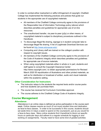In order to combat either inadvertent or willful infringement of copyright, Chatfield College has implemented the following practices and policies that guide our students in the appropriate use of copyrighted materials:

- All members of the Chatfield College community agree to the provisions of the Responsible Use of Information Technology policy (above) which describes penalties and guidelines for appropriate use of on-line resources.
- The unauthorized transfer, via peer‐to‐peer (p2p) or other means, of copyrighted material is subject to disciplinary procedures outlined in this Handbook.
- To discourage illegal file sharing, signage is in student computer labs to discourage illegal file sharing. A list of Legitimate Download Services can be found at [http://www.educause.edu/.](http://www.educause.edu/)
- Computing and Library staff are trained on the college's position with respect to copyright issues.
- All members of the Chatfield College community agree to the provisions of the Code of Academic Integrity which describes penalties and guidelines for appropriate use of source materials.
- When using copyrighted materials either in whole or in part, students and staff agree to consult the Copyright Clearance Center http://www.copyright.com/, to obtain appropriate permissions for Revised March 2020 55 republication of illustrations and other printed materials, as well as for distribution or broadcast of written, audio and visual materials within the academic setting.

#### <span id="page-19-0"></span>**Other Consideration for Instructors**

- The instructor relays to the students the required texts and/or course packs and how students can purchase them.
- The course has received full Curriculum Committee approval.
- The course adheres to the Chatfield College Code of Academic Integrity.

#### <span id="page-19-2"></span><span id="page-19-1"></span>**Course Management**

#### **Attendance**

Attendance in an online class is defined as active participation in the course each week. Online classes require as much (if not more) student time and dedication as face-to-face classes. In order to be successful in this course, students should set aside time 2-3 days a week to spend on the coursework, just as you would for a face-to-face class. Many online students find it beneficial to block out specific hours on particular days and adhere to a regular schedule for logging in and working on assignments. Faculty need to have some kind of graded activities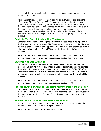each week that requires students to login multiple times during the week to be active in the course.

Attendance for distance education courses will be submitted to the registrar's office every Friday at 3:00 pm EST. If a student has not participated in any graded activities for the week by this deadline, they will be marked absent for that particular week, and their attendance for the week will not be altered even if they participate in the graded activities after the attendance deadline. The assignments students complete late will be graded at the discretion of the instructor. Make sure to post your policy in the Late Work policy section of the syllabus.

#### <span id="page-20-0"></span>**Students Who Don't Attend the First Two Weeks**

Students who don't attend during the two weeks of class need to be reported in the first week's attendance report. The Registrar will provide a list to the Manager of Instructional Technology and Application Support at the end of the first week of all non-attending students. The MITAS will make those students "inactive" in their courses.

**Note:** Faculty are not to remove students from courses for any reason. If a student needs to be removed from a course, contact the Registrar's office.

#### <span id="page-20-1"></span>**Students Who Stop Attending**

Faculty should submit an Early Alert whenever they have a student who has stopped participating in a course. Chatfield College student services will contact the student. If the student continues to not participate ("attend") The MITAS will verify the student's status with the registrar and change that student to "inactive" in the course so they no longer have access to the course, but their work will be retained.

**Note:** Faculty are not to remove students from courses for any reason. If a student needs to be removed from a course, contact the MITAS.

#### <span id="page-20-2"></span>**Process of Adding/Changing Instructors After the Start of the Semester**

Changes to the status of faculty after the start of a semester should go through the Chief Academic Officer. The CAO will then notify the Manager of Instructional Technology and Application Support. The MITAS will then add/remove the faculty member.

#### <span id="page-20-3"></span>**Student Course Status After the Start of the Semester**

If for any reason a student must be added or removed from a course after the start of the semester, contact the Registrar's office.

**Note:** Faculty students from courses for any reason.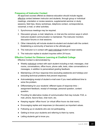#### <span id="page-21-0"></span>**Frequency of Instructor Contact**

All approved courses offered as distance education should include regular, effective contact between instructor and students, through group or individual meetings, orientation or review sessions, supplemental seminar or study sessions, field trips, library workshops, telephone contact, correspondence, voicemail, e-mail, or other activities.

- 1. Synchronous meetings may be required.
- 2. Discussion groups, e-mail, telephone, or chat are the common ways in which instructor-student communication is maintained. The instructor monitors discussion forums or chat sessions.
- 3. Other interactivity will include student-to-student and student with the content. Establishing a community of learners is the ultimate goal.
- 4. The instructor is in contact with each individual student at least weekly.
- 5. The instructor replies to student inquiries within 24 hours.

#### <span id="page-21-1"></span>**Effective Contact for Distance Learning at Chatfield College**

Effective Contact is demonstrated by:

- Weekly individual contact with each student including e-mail, messages, chat rooms, conversations, office hours, phone calls, texts, video conversations or messages, in addition to personalized grading feedback.
- Maintaining a 24-hour response time (excluding weekends and holidays and excluding technical problems that prevent response).
- Acknowledging receipt of student e-mail even if you need additional time to solve the problem.
- Differentiating for your students' different types of response time assignment feedback, receipt of message, personal question, content question.
- Providing for alternative modes of communication that may include: FAX, email, phone, face-to-face, chat room, etc.
- Keeping regular 'office hours' (or virtual office hours via chat room).
- Encouraging replies and responses (or discussion) as important values.
- Following up on students who are not participating.
- Getting to know your students and referring to them by name.
- Letting students get to know you.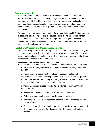#### <span id="page-22-0"></span>**Common Materials**

It is important that students who are enrolled in your class have adequate information about the class, including college policies and resources. Note that students expect to be able to access the class syllabus before a class begins. Once the class begins, students expect to be able to download and print syllabi, class handouts, view their current grades, and other course materials from the course site.

Onboarding and college resource materials are a part of each LMS. Students are expected to take a self-paced online course prior to being able to register for online courses. Together, these provide important and required access to College resources and policies to students in your course and prepare them to succeed in the delivery environment.

#### <span id="page-22-1"></span>**Institution, Program and Course Assessments**

Chatfield College requires the tracking and assessment of all institution, program and course outcomes. These are all added to the college's LMS. When creating assignments and assessments in the LMS, instructors are required to attach the appropriate outcomes to those activities.

#### *Assessment of Progress and Learning Outcomes*

- Assessment is conducted to collect evidence that meets criteria established for the stated learning objectives. Outcomes are linked to assignments within the LMS.
- Instructor monitors assignment completion on required dates and communicates with students falling behind. Instructor evaluates assignments and provides feedback in a timely manner (i.e., within one week of submittal) assessing student progress throughout the course.
- Instructor assesses progress by collecting evidence of learning through various means:
	- Assessment may occur in various formats including online.
	- At-home or open book formats may be used for testing.
	- Knowledge/skill levels are assessed primarily through evidence collected, i.e. work submitted.
	- Threaded discussions or e-mail discussions, if available, are summarized (by a student or instructor) and assessed by the instructor. Feedback is offered.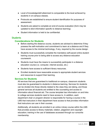- Level of knowledge/skill attainment is comparable to the level achieved by students in on-campus classes.
- Protocols are established to ensure student identification for purposes of assessment.
- Students are asked to complete an end-of-course evaluation (form may be updated to elicit information specific to distance learning).
- Student information is held to be confidential

#### <span id="page-23-1"></span><span id="page-23-0"></span>**Students**

#### **Considerations for Students**

- Before starting the distance course, students are advised to determine if they possess the self-motivation and commitment to learn at a distance and if they have access to the minimal technology, if any, required by the course design.
- Students must successfully complete the mandatory self-paced online student training course prior to being able to access any distance education coursework.
- Students must have the means to successfully participate in a distance education course (i.e. computer, internet access, etc.)
- Students have access to sufficient library resources.
- Enrolled students have reasonable access to appropriate student services and resources to support their learning.

#### <span id="page-23-2"></span>**Services for Students**

All services that are guaranteed to traditional on-campus, classroom students must also be guaranteed to students in distance learning. Services for students can be divided into those directly related to the class they are taking, and those general services all students are entitled to like counseling and access to information about financial aid. The course template has information on and links to college services students need to have access to. In addition, each department chair or program director is responsible for having a course in the LMS that instructors in their department have access to that provides information that instructors can use in their courses.

Additionally, all students are enrolled in an online Library course within the LMS that provides access to library materials; citation, plagiarism and copyright education; training in the use of databases accessed through our consortia membership.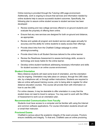Online tutoring is provided through the Tutoring LMS page environment. Additionally, work is ongoing to ensure that services and information needed by online students help to assure successful student outcomes. Specifically, the following plan to assure online student access to student services has been developed:

- Review existing and new college services offered to on-ground students and evaluate the propriety of offering them online.
- Ensure that any new services are designed for both on-ground and distance, as appropriate.
- Review and update all program and student service web pages annually for accuracy and the ability for online students to easily access their offerings.
- Provide direct links from the Chatfield College webpage to online advising/counseling.
- Provide direct links to all Student Services tailored to the online learner.
- Review the Readiness Assessment to assess technology skills, access to technology and study habits for the online learner.
- Develop online student handbook addressing necessary information and skills for student success in an online course environment.

#### <span id="page-24-0"></span>**Student Orientation**

Many distance students will need some level of orientation, and the orientation may be ongoing. Orientation may take place on campus, through the LMS class site, by a telephone call, or through written instructions. Students are required to take an online self-paced training course, prior to being able to register for other distance education courses. This course will provide them with information on how to use the LMS.

For online classes, it may be desirable to offer orientation in a way that the student does not need to travel to campus. You may want to work with the Office of Assessment to work out an orientation plan.

#### <span id="page-24-1"></span>**Recommended Communication from Faculty**

Students must have access to a computer and be familiar with using the Internet and common software applications. For course information students should call or email their instructor.

#### <span id="page-24-2"></span>**Proctored Exams**

Chatfield is serious about the academic integrity of the exam process. Proctors ensure credibility and integrity. To that end, Chatfield uses an online proctoring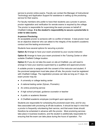service to proctor online exams. Faculty can contact the Manager of Instructional Technology and Application Support for assistance in setting up the proctoring service for their exams.

For faculty members who prefer to have their students use a proctor in person, proctor registration and verification for remote exams is required by the college. The proctor is responsible for supervising the exam process on behalf of Chatfield College. **It is the student's responsibility to secure a proctor/site in order to take exams.**

#### *In-person Proctoring*

An acceptable proctor is someone with no conflict of interest. A test proctor must be an objective observer who can attest to the integrity of the student's academic conduct and the testing environment.

Students have several options for securing a proctor.

**Option A)** Arrange to have your exam proctored by your course instructor.

**Option B**) Arrange to have your exam proctored in the Tutoring Center or other suitable Chatfield College location.

**Option C**) If you do not take the exam on site at Chatfield, you will need to arrange to have your exam(s) supervised by a qualified and approved proctor.

A suitable proctor is assigned with the consent of the instructor and student. If the proctored assignment must take place off site, the proctor must be registered with Chatfield College. The registration process can take as long as 21 days. An exam proctor may be:

- A university or college testing center
- A national testing center (Sylvan, Prometric)
- An online proctoring service
- A high school principal, guidance counselor or teacher
- A public or academic librarian
- A Chatfield academic employee (contingent upon approval)

Students are responsible for scheduling the proctored exam time, and for any fees associated with proctoring at off-site locations. It should be kept in mind that a proctor is frequently volunteering their service, and that exam times should therefore be scheduled in advance with the proctor. Most proctoring services take place in business locations, and the student is additionally responsible for ensuring that the exam can take place during the hours of operation. For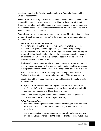questions regarding the Proctor registration form in Appendix G, contact the Office of Assessment.

**Please note:** While many proctors will serve on a voluntary basis, the student is responsible for paying any expenses incurred in retaining a test site/proctor. There may be a fee involved to secure a proctor if the exam is not taken on-site at Chatfield College. This is the responsibility of the student to pay. This cost is NOT included in the course fees.

Regardless of where the student takes required exams, **ALL** students must show a photo ID (such as a driver's license) to the proctor before being permitted to take the exam.

#### *Steps to Secure an Exam Proctor*

All proctors, other than the course instructor, even if Chatfield College academic employees, must be approved by Chatfield College using the Proctor Registration form in Appendix G. A proctor will not automatically be assigned; rather, the student must make the necessary contacts to secure a professional who will serve in this capacity. Proctors must be approved **before** any exams can be taken.

Applicants/students should identify and obtain approval for an exam proctor no later than one week after the add/drop period and at least two weeks prior to the proctored exam. Once approved, the proctor/site is valid for two years.

Step 1: Locate an acceptable test site/proctor. Complete the Proctor Registration form with the proctor and return to the Office of Assessment.

Step 2: Submit the Proctor Registration form at least two (2) weeks prior to the exam date.

● If your proctor does not meet the required specifications, you will be notified within 7 to 10 business days. At that time, you will be required to submit a new request for a different exam proctor.

Step 3: Once approved, you will need to contact your test site/proctor to confirm the date, time, and location of your exam(s).

#### *Other Considerations*

- If you need to change test sites/proctors at any time, you must complete this entire process at least 2 weeks prior to any exams that may be administered.
- You are responsible to provide updated contact information on your exam proctor, including any change to the business email address. If your exam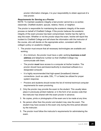proctor information changes, it is your responsibility to obtain approval of a new proctor.

#### *Requirements for Serving as a Proctor*

NOTE: To maintain academic integrity a test proctor cannot be a co-worker, classmate, Chatfield student, spouse, relative, friend, or neighbor.

The proctor is responsible for maintaining the academic integrity of the exam process on behalf of Chatfield College. If the proctor believes the academic integrity of the exam process has been compromised, he/she has the right to stop the exam. Whether or not the proctor stops the exam, he/she will report the incident to Chatfield College and will share the information with the instructor of the course, who will decide on the appropriate action, consistent with the college's policy on academic integrity.

- 1. The proctor must ensure that all necessary technologies are available and working.
	- At a minimum, the proctor must have a valid, working **business e-mail address** and telephone number so that Chatfield College may communicate with them.
	- The proctor **must** have access to a computer at his/her location. The proctor should have permission/authority to download software to a designated computer.
	- It is highly recommended that high-speed (broadband) Internet connections- (such as cable, DSL, T1 or faster) be utilized for proper system response.
	- Proctors and students should review the list of minimal technical computer requirements for exam proctoring.
	- 2. Only the proctor may provide the exam to the student. This usually takes place in previously printed material, or in the form of an access code that the instructor has shared with the exam proctor in advance.
	- 3. No copies, prints or photographs of the exam are to be made at any time.
	- 4. No person other than the proctor and student may view the exam. The student may have access to the exam only during the time period allowed by the instructor.
	- 5. The proctor must follow the instructor's requirements for administering the exam.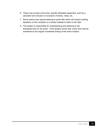- 6. These may include a time limit, specific allowable equipment, such as a calculator and inclusion or exclusion of books, notes, etc.
- 7. Some exams may require listening to audio files which will require working speakers on the computer or a simple headset to listen to the clips.
- 8. The student is responsible for understanding and adhering to the scheduled time for the exam. If the student arrives late, exam time may be shortened by the regular scheduled closing of the exam location.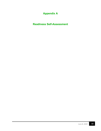# **Appendix A**

<span id="page-29-1"></span><span id="page-29-0"></span>**Readiness Self-Assessment**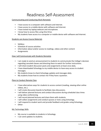# Readiness Self-Assessment

#### Communicating and Conducting Work Remotely

- I have access to a computer with software and Internet.
- I have access to a mobile device with software and Internet.
- I have tested my laptop webcam and microphone.
- I know how to access files using One Drive.
- My students have access to a computer or mobile device with software and Internet.

#### Students can Access Course Materials

- Syllabus
- **Schedule of course activities**
- **Information about and/or access to readings, videos and other content**
- Assignments

#### How I will Communicate with Students Remotely

- I am ready to send an announcement to students to communicate the College's decision regarding canceled classes and directing them to watch for further instructions.
- I will check student discussion posts and assignments at least once daily.
- I have downloaded Schoology to my mobile device to have easy access to student messages.
- My students know to check Schoology updates and messages daily.
- My students know how to contact me if they have a question.

#### Plans to Conduct Remote Class

- I have alternatives ways for students to access content (reading, viewing other online videos, etc.).
- I will create discussion boards to facilitate class discussions.
- I will deliver planned lectures and conduct discussions during scheduled class times using video conferencing.
- **I** will record planned lectures and share them with students.
- I will collect assignments and conduct quizzes or tests using Schoology.
- I will respond to student work and provide feedback and grades using Schoology.
- **-** Other:

#### My Technology Skills

- My course is available to students in Schoology
- I can send updates to students.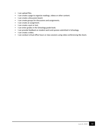- **I** can upload files.
- **I can create a page to organize readings, videos or other content.**
- **I can create a discussion board.**
- **I can create groups for discussions and assignments.**
- I can create an assignment.
- I can create a quiz or test.
- I can enter grades in the Schoology grade book.
- **I can provide feedback on student work and quizzes submitted in Schoology.**
- **I** can create a video.
- **I can conduct virtual office hours or class sessions using video conferencing like Zoom.**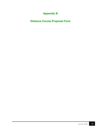# **Appendix B**

<span id="page-32-1"></span><span id="page-32-0"></span>**Distance Course Proposal Form**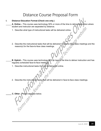# Distance Course Proposal Form

#### **I. Distance Education Format (Check one only.)**

\_\_\_\_\_ **A**. **Online –** This course uses technology 50% or more of the time to deliver instruction where student and instructor are separated by distance. Websitt

- 1. Describe what type of instructional tasks will be delivered online.
- 2. Describe the instructional tasks that will be delivered in face-to-face class meetings and the reason(s) for the face-to-face class meetings.
- \_\_\_\_\_ **B**. **Hybrid** This course uses technology 50% or less of the time to deliver instruction and has regularly scheduled face-to-face meetings.
	- 1. Describe instructional tasks that will be delivered online.
	- 2. Describe the instructional tasks that will be delivered in face-to-face class meetings.

**c. Other** - Please describe below.<br>
A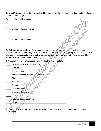**Course Methods –** Describe how each will be adapted for the distance education method selected on the previous page:

- A. Methods of Instruction
- B. Methods of Communication
- C. Methods of Evaluation

**A. Methods of Instruction – Distance-delivered courses should support an active learning** environment. Chatfield College expects the same standards of course quality in distance education courses, including regular and effective contact between students and instructors, as would be applied in a traditional classroom setting.

- 1. Check all methods of instruction identified in the course outline.
- \_\_\_\_\_ Lectures (Prepared by instructor)
- \_\_\_\_\_ Discussions
- \_\_\_\_\_ Case Studies
- \_\_\_\_\_ Team Projects/Cooperative Learning
- \_\_\_\_\_ Simulations
- \_\_\_\_\_ Role Play
- \_\_\_\_\_ Debate
- **Demonstration**
- Discovery Learning
- \_\_\_\_\_ Journals
	- Problem-based Learning
- \_\_\_\_\_ Other:\_\_\_\_\_\_\_\_\_\_\_\_\_\_\_\_\_\_\_\_\_\_\_\_\_\_\_\_\_\_\_\_\_\_\_\_\_\_\_\_\_\_\_\_
- 2. Specify any adaptations in instructional methodology resulting from offering this course at distance.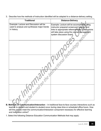3. Describe how the methods of instruction identified will be adapted to a distance-delivery setting.

| <b>Traditional</b>                                                                                    | <b>Distance-Delivery</b>                                                                                                                                                                                                   |
|-------------------------------------------------------------------------------------------------------|----------------------------------------------------------------------------------------------------------------------------------------------------------------------------------------------------------------------------|
| Example: Lecture and Discussion will be<br>used to analyze and synthesize major trends<br>in history. | Example: Lecture will be accomplished using<br>instructor prepared screencast lectures and<br>links to appropriate reference sites. Discussions<br>will take place using the course management<br>system discussion board. |
|                                                                                                       |                                                                                                                                                                                                                            |
|                                                                                                       |                                                                                                                                                                                                                            |
| in fine                                                                                               |                                                                                                                                                                                                                            |
|                                                                                                       |                                                                                                                                                                                                                            |

- **B. Methods of Communication/Interaction** In traditional face-to-face courses interactions such as teacher to student and student to student occur during class time or scheduled office hours. How will this course meet the communication/interaction component necessary for effective learning and instruction online?
- 1. Select the following Distance Education Communication Methods that may apply: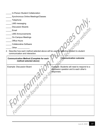| In-Person Student Collaboration |
|---------------------------------|
|---------------------------------|

- \_\_\_\_\_ Synchronous Online Meetings/Classes
- \_\_\_\_\_ Telephone
- \_\_\_\_\_ LMS messaging
- \_\_\_\_\_ Discussion Boards
- \_\_\_\_\_ Email
- \_\_\_\_\_ LMS Announcements
- \_\_\_\_\_ On-Campus Meetings
- \_\_\_\_\_ Office Hours
- \_\_\_\_\_ Collaborative Software
- \_\_\_\_\_ Other \_\_\_\_\_\_\_\_\_\_\_
- 2. Describe how each method selected above will be used for effective student to student communication and interaction.

| <b>Communication Method (Complete for each</b><br>method selected above) | <b>Communication outcome</b>                                                                         |
|--------------------------------------------------------------------------|------------------------------------------------------------------------------------------------------|
| <b>Example: Discussion Board</b>                                         | Example: Students will need to respond to a<br>discussion question and to each other's<br>responses. |
|                                                                          |                                                                                                      |
|                                                                          |                                                                                                      |
|                                                                          |                                                                                                      |
|                                                                          |                                                                                                      |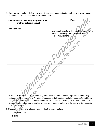3. Communication plan. Define how you will use each communication method to provide regular effective contact between instructor and students.



- C. Methods of Evaluation Evaluation is guided by the intended course objectives and learning outcomes of the curriculum. A variety of assessment strategies (multiple measures) need to be used as components of every distance-delivered course, just as they are in face-to-face courses. Grades are based on demonstrated proficiency in subject matter and the ability to demonstrate that proficiency.
- 1. Check all methods of evaluation identified in the course outline.
- objective exams
- \_\_\_\_\_ exams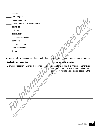\_\_\_\_\_ essays

- \_\_\_\_\_ term projects
- \_\_\_\_\_ research papers
- \_\_\_\_\_ presentations/ oral assignments
- \_\_\_\_\_ portfolios
- \_\_\_\_\_ quizzes
- \_\_\_\_\_ observation
- \_\_\_\_\_ process assessment
- \_\_\_\_\_ contracts
- \_\_\_\_\_ self-assessment
- \_\_\_\_\_ peer assessment
- 

 $\frac{1}{\text{SUSL}} \text{ the first number of different numbers labeled as a given number of elements.} \text{ The second number of elements are the first number of elements.} \text{ The second number of elements are the first number of elements.} \text{ The second number of elements are the first number of elements.} \text{ The second number of elements are the first number of elements.} \text{ The second number of elements are the first number of elements.} \text{ The second number of elements are the second number of elements.} \text{ The second number of elements are the second number of elements.} \text{ The second number of elements are the second number of elements.} \text{ The second number of elements are the second number of elements.} \text{ The second number of elements are the second number of elements.} \text{ The second number of elements are the second number of elements.} \text{ The second number of elements are the second number of elements$ 2. Describe how describe how these methods will be adapted for use in an online environment.

| <b>Evaluation of Learning</b>                 | <b>Response to Evaluation</b>                 |
|-----------------------------------------------|-----------------------------------------------|
|                                               |                                               |
| Example: Research paper on a specified topic. | Example: Send back instructor comments in     |
|                                               | the margin, provide an online model answer    |
|                                               | and lastly, include a discussion board on the |
|                                               | project                                       |
|                                               |                                               |
|                                               |                                               |
|                                               |                                               |
|                                               |                                               |
|                                               |                                               |
|                                               |                                               |
|                                               |                                               |
|                                               |                                               |
|                                               |                                               |
|                                               |                                               |
|                                               |                                               |
|                                               |                                               |
|                                               |                                               |
|                                               |                                               |
|                                               |                                               |
|                                               |                                               |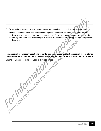3. Describe how you will track student progress and participation in online course activities. Example: Students must show progress and participation through submission of homework, participation on discussion forums, and completion of tests and quizzes. A weekly review of the student's grade book and activity logs will provide the evidence for tracking student progress and participation. nnology

# **II. Accessibility – Accommodations regarding special needs student accessibility to distancedelivered content must be made. Please describe how this course will meet this requirement.** special head caption in a series were in a series of the instruction of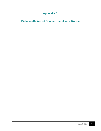# **Appendix C**

## <span id="page-40-1"></span><span id="page-40-0"></span>**Distance-Delivered Course Compliance Rubric**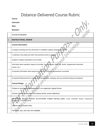# <span id="page-41-0"></span>Distance-Delivered Course Rubric

|    | Course:                                                                                                                                                   |
|----|-----------------------------------------------------------------------------------------------------------------------------------------------------------|
|    | Instructor:                                                                                                                                               |
|    | Date:                                                                                                                                                     |
|    | <b>Reviewer:</b>                                                                                                                                          |
|    | <b>Course Evaluation</b>                                                                                                                                  |
| ı. | <b>INSTRUCTIONAL DESIGN</b>                                                                                                                               |
|    | <b>Course Information</b>                                                                                                                                 |
|    | A syllabus including all of the information in Chatfield's syllabus template is provided                                                                  |
|    | A calendar of due dates and other time-sensitive events is provided.                                                                                      |
|    | Academic integrity expectations are provided.                                                                                                             |
|    | Information about academic support is provided. (Learning Labs, Math Lab, Studio, Supplemental Instruction,                                               |
|    | Library, etc.)                                                                                                                                            |
|    | (If required) Information about special hardware and software requirements is provided.                                                                   |
|    | (If required) Requirements for synchronous assignments, meetings, and any proctored testing are explained.                                                |
|    | <b>Course Design</b>                                                                                                                                      |
|    | Content is structured and sequenced in an organized, logical format.                                                                                      |
|    | Course content is described for purpose and/or course objectives.                                                                                         |
|    | Instructional delivery methods accommodate multiple learning styles. (Visual, Kinesthetic, Musical, Interpersonal,<br>Intrapersonal, Linguistic, Logical) |
|    | Course has no broken links.                                                                                                                               |
|    | Font type, size, and color are readable.                                                                                                                  |
|    |                                                                                                                                                           |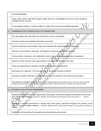|      | <b>Course Evaluation</b>                                                                                                                                                                                                                                               |  |  |  |
|------|------------------------------------------------------------------------------------------------------------------------------------------------------------------------------------------------------------------------------------------------------------------------|--|--|--|
|      | Image, audio, and/or video files are good quality, file size is manageable by the user. Course abides by<br>copyright and fair use laws.                                                                                                                               |  |  |  |
|      | Course design indicates a conscious effort to comply with or exceed accessibility standards.                                                                                                                                                                           |  |  |  |
| Н.   | COMMUNICATION, INTERACTION, & COLLABORATION                                                                                                                                                                                                                            |  |  |  |
|      | The class begins with information and instructions on how to get started.                                                                                                                                                                                              |  |  |  |
|      | Instructor contact and availability information is provided.                                                                                                                                                                                                           |  |  |  |
|      | Instructor preferred communication modes are explained with expected response timelines.                                                                                                                                                                               |  |  |  |
|      | Instructor communication, responses, and feedback model good practices for students.                                                                                                                                                                                   |  |  |  |
|      | Communication, interaction, and collaboration code of conduct/netiquette standards are explained.                                                                                                                                                                      |  |  |  |
|      | Students and the instructor have opportunities to introduce themselves to each other.<br>There are opportunities for student-to-student communication and interaction.                                                                                                 |  |  |  |
|      |                                                                                                                                                                                                                                                                        |  |  |  |
|      | Discussions are organized. The instructor's role in discussion activities is defined.                                                                                                                                                                                  |  |  |  |
|      | Instructor-to-student interaction is regular, substantive, and initiated by both instructor and student.                                                                                                                                                               |  |  |  |
|      | The instructor is regularly "present" in the class. (Regular/regularly: Models interaction from a F2F class, which is typically<br>throughout each week of the semester. Substantive: is timely, relevant, instructional, directive, clarifying, and/or content-based) |  |  |  |
| III. | STUDENT EVALUATION & ASSESSMENT                                                                                                                                                                                                                                        |  |  |  |
|      | Assessment of student learning is aligned with course goals, conducted throughout the duration of the course,<br>and uses multiple methods. (Assessment: Feedback from the student to the instructor used for improvement of<br>teaching<br>and learning.)             |  |  |  |
|      | Evaluation of student achievement is aligned with course goals, conducted throughout the duration of the<br>course, and uses multiple methods. (Evaluation: Methods used to judge student learning for the purposes of grading and<br>reporting.)                      |  |  |  |
|      | Date, time, and instructions for assessments and evaluations are provided.                                                                                                                                                                                             |  |  |  |
|      |                                                                                                                                                                                                                                                                        |  |  |  |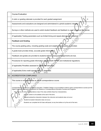|                                                                                              | <b>Course Evaluation</b><br>A rubric or grading rationale is provided for each graded assignment.<br>Assessments and evaluations are designed and administered to uphold academic integrity.<br>Surveys or other methods are used to solicit student feedback and feedback is used to improve the course.                                                                                                                                                                                              |  |  |  |
|----------------------------------------------------------------------------------------------|--------------------------------------------------------------------------------------------------------------------------------------------------------------------------------------------------------------------------------------------------------------------------------------------------------------------------------------------------------------------------------------------------------------------------------------------------------------------------------------------------------|--|--|--|
|                                                                                              |                                                                                                                                                                                                                                                                                                                                                                                                                                                                                                        |  |  |  |
|                                                                                              |                                                                                                                                                                                                                                                                                                                                                                                                                                                                                                        |  |  |  |
|                                                                                              |                                                                                                                                                                                                                                                                                                                                                                                                                                                                                                        |  |  |  |
| (If applicable) Testing parameters such as limited timing and repeat attempts are explained. |                                                                                                                                                                                                                                                                                                                                                                                                                                                                                                        |  |  |  |
| <b>Feedback and Grading</b>                                                                  |                                                                                                                                                                                                                                                                                                                                                                                                                                                                                                        |  |  |  |
|                                                                                              | The course grading policy, including grading scale and weights (if applicable), is provided.                                                                                                                                                                                                                                                                                                                                                                                                           |  |  |  |
|                                                                                              | A grade book provides timely, accurate grade information.                                                                                                                                                                                                                                                                                                                                                                                                                                              |  |  |  |
| Feedback and grades are provided to students before subsequent assignments are due.          |                                                                                                                                                                                                                                                                                                                                                                                                                                                                                                        |  |  |  |
|                                                                                              | Procedures for reporting grade information complies with FERPA and institutional regulations.<br>(If applicable) Penalties assessed to grades are described.                                                                                                                                                                                                                                                                                                                                           |  |  |  |
|                                                                                              |                                                                                                                                                                                                                                                                                                                                                                                                                                                                                                        |  |  |  |
|                                                                                              | (If applicable) Extra credit opportunities are described.                                                                                                                                                                                                                                                                                                                                                                                                                                              |  |  |  |
| IV.                                                                                          | <b>ACCREDITATION COMPLIANCE</b>                                                                                                                                                                                                                                                                                                                                                                                                                                                                        |  |  |  |
|                                                                                              | This course is not delivered as an online correspondence course.                                                                                                                                                                                                                                                                                                                                                                                                                                       |  |  |  |
|                                                                                              | Correspondence courses are not distance education. Chatfield College is not accredited to deliver online correspondence courses per the<br>Higher Learning Commission's Definitions for Distance or Correspondence Education Courses and Programs.<br>This may be an online correspondence class if the class exhibits these four characteristics.<br>Course content is all available at the start of the term;<br>Regular/substantive interaction between the instructor and students does not occur; |  |  |  |
|                                                                                              | Student-to-student interaction does not occur;                                                                                                                                                                                                                                                                                                                                                                                                                                                         |  |  |  |
|                                                                                              | Students can complete the full class self-paced, at any time before or by the end of the term.                                                                                                                                                                                                                                                                                                                                                                                                         |  |  |  |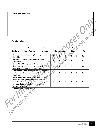| <b>Comments on Course Design</b> |  |  |  |
|----------------------------------|--|--|--|
|----------------------------------|--|--|--|

#### Faculty Evaluation

| 5                | 4                                                                                                                                                                                                                             | 3       |   | $\mathbf{2}$         |   |                |              |           |
|------------------|-------------------------------------------------------------------------------------------------------------------------------------------------------------------------------------------------------------------------------|---------|---|----------------------|---|----------------|--------------|-----------|
| <b>Excellent</b> | <b>Above Average</b>                                                                                                                                                                                                          | Average |   | <b>Below Average</b> |   | Pool           |              | <b>NA</b> |
| the subject.     | Expertise: The professor displayed expertise in                                                                                                                                                                               |         |   |                      |   |                | $\mathbf{1}$ | <b>NA</b> |
| respectfully.    | Respect: The professor treated all students                                                                                                                                                                                   |         |   |                      |   | $\overline{2}$ | $\mathbf{1}$ | <b>NA</b> |
|                  | <b>Online Class Management: The professor</b><br>demonstrated appropriate technical skills<br>necessary for managing an online class.                                                                                         |         |   |                      | 3 | $\overline{2}$ | $\mathbf{1}$ | <b>NA</b> |
| timely manner.   | <b>Observation Process: The professor participated</b><br>in the observation process in a professional and                                                                                                                    |         |   | 4                    | 3 | $\overline{2}$ | $\mathbf{1}$ | <b>NA</b> |
|                  | Professional Obligations: The professor meets<br>professional obligations outside of class (e.g.<br>submits rosters and grades on time, participates<br>in dialog about student learning outcomes<br>assessment results, etc. |         | 5 | 4                    | 3 | $\overline{2}$ | $\mathbf{1}$ | <b>NA</b> |
|                  | <b>Comments on Faculty Evaluation:</b>                                                                                                                                                                                        |         |   |                      |   |                |              |           |
|                  |                                                                                                                                                                                                                               |         |   |                      |   |                |              |           |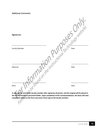#### Additional Comments:

| Signatures:                           | OSE Juliebsite. |
|---------------------------------------|-----------------|
| <b>Faculty Member</b>                 |                 |
| ind on the Instructional.<br>Observer | Date            |
| Dean                                  | Date            |

**A copy will be sent to the faculty member after signed by all parties, and the original will be placed in the faculty member's personnel folder. Upon completion of the recommendations, the Dean will note completion dates on this form and send a final copy to the faculty member.**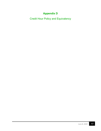# **Appendix D**

<span id="page-46-0"></span>Credit Hour Policy and Equivalency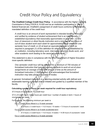# Credit Hour Policy and Equivalency

**The Chatfield College Credit Hour Policy**: In accordance with the Higher Learning Commission's Policy FDCR.A.10.020 and as an institution participating in Title IV federal financial aid, Chatfield's assignment of credit hours conforms to the federally mandated definition of the credit hour:

*A credit hour is an amount of work represented in intended learning outcomes and verified by evidence of student achievement that is an institutionallyestablished equivalency that reasonably approximates no less than: (1) one hour of classroom or direct faculty instruction and a minimum of two hours of out-of-class student work each week for approximately fifteen weeks for one semester hour of credit, or (2) at least an equivalent amount of work as required in paragraph (1) of this definition for other activities as established by an institution, including laboratory work, internships, practica, studio work, and other academic work leading to the award of credit hours.* 

This statement is also in compliance with the Ohio Department of Higher Education more specific definition:

*One semester credit hour will be awarded for a minimum of 750 minutes of formalized instruction that typically requires students to work at out-of-class assignments an average of twice the amount of time as the amount of formalized instruction (1,500 minutes). It is acknowledged that formalized instruction may take place in a variety of modes.*

In general, formalized instruction is a learning-oriented activity with defined and assessable learning outcomes that is initiated and guided by a qualified member of the faculty.

#### **Calculating number of hours per week required for credit hour equivalency**

37.5 hours of coursework = 1 credit hour

37.5 x # credit hours = total hours per credit hour / number of weeks in term = hours of coursework per week

For example, the following minimum per week is:

For a 3-credit course offered in a 15-week semester:

37.5 hours x 3 credit hours = 112.5 hours / 15 weeks = 7.5 hours of coursework / week

For a 3-credit course offered in an 8-week accelerated term:

37.5 hours x 3 credit hours = 112.5 hours / 8 weeks = 14.06 hours of coursework / week

For a 1-credit course offered in a 15-week semester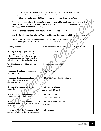37.5 hours x 1 credit hours = 37.5 hours / 12 weeks = 3.12 hours of coursework / week For a 4-credit course offered in a 15 week semester:

37.5 hours x 4 credit hours = 150 hours / 15 weeks = 10 hours of coursework / week

Calculate the required weekly hours of coursework required for credit hour equivalency in this class:  $37.5 \times \_ ($ # credit hours) = (total hours per credit hour)/  $\_$  (# of weeks in term)= (hours of coursework/week)<br>Does class: 37.5 x  $\underline{\hspace{1cm}}$  (# credit hours) = \_\_\_(total hours per credit hour)/  $\underline{\hspace{1cm}}$  (# of weeks in term)= (hours of coursework/week)

**Does the course meet the credit hour policy?** \_\_\_\_\_ **Yes** \_\_\_\_\_ **No** 

**Use the Credit Hour Equivalency Worksheet to help determine credit hour equivalency.** 

**Credit Hour Equivalency Worksheet** Primary activities which substantiate the number of hours per week required for credit hour equivalency

| <b>Learning activity</b>                                                                                                                                                                                                             | Typical <i>minimum</i> time on task                   | <b>Required/week</b> |
|--------------------------------------------------------------------------------------------------------------------------------------------------------------------------------------------------------------------------------------|-------------------------------------------------------|----------------------|
| Reading (Will vary by type; textbook,<br>scholarly journals, novel, slides, lecture<br>notes, web page, etc. Faster for print; slower<br>for electronic materials. Faster if reading,<br>only; slower for reading and taking notes.) | 3 minutes/page, 100-150 words/minute                  |                      |
| Watching/listening to video, listening to<br>audio                                                                                                                                                                                   | Will vary by length of content                        |                      |
| Discussion (Reading prompts, peer, &<br>instructor posts                                                                                                                                                                             | 8-10 minutes/post                                     |                      |
| <b>Discussion (Posting, responding;</b><br>intended to replace in-class<br>dialogue/discussion)                                                                                                                                      | 10-12 minutes/post, at least 3 sentences              |                      |
| Research (For an assignment, paper,<br>project, lab)                                                                                                                                                                                 | 90 minutes/finished page<br>(approximately 250 words) |                      |
| Writing/editing, researched-based (For an<br>assignment, paper, project, or lab)                                                                                                                                                     | 90 minutes/finished page<br>(approximately 250 words  |                      |
| Writing/editing, response/reflection, non-<br>research-based (For an assignment, paper,<br>project, or lab)                                                                                                                          | 30 minutes/page (approximately<br>250 words)          |                      |
| Peer review (Providing feedback on a draft<br>assignment, paper, project, or presentation)                                                                                                                                           | 10 minutes/page                                       |                      |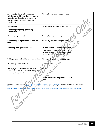| Activities (Online or offline, such as<br>calculations, problem solving, worksheets,<br>case studies, simulations, experiments,<br>puzzles, games, blogging, creating a<br>website, etc.)                                                                                                                                                                                                            | Will vary by assignment requirements                                                                                                                                 |  |  |  |  |
|------------------------------------------------------------------------------------------------------------------------------------------------------------------------------------------------------------------------------------------------------------------------------------------------------------------------------------------------------------------------------------------------------|----------------------------------------------------------------------------------------------------------------------------------------------------------------------|--|--|--|--|
| Researching,                                                                                                                                                                                                                                                                                                                                                                                         | 120 minutes/30 seconds of presentation                                                                                                                               |  |  |  |  |
| developing/preparing, practicing a<br>presentation                                                                                                                                                                                                                                                                                                                                                   |                                                                                                                                                                      |  |  |  |  |
| Delivering a presentation                                                                                                                                                                                                                                                                                                                                                                            | Will vary by assignment requirements                                                                                                                                 |  |  |  |  |
| Contributing to a group assignment or<br>task                                                                                                                                                                                                                                                                                                                                                        | Will vary by assignment requirements                                                                                                                                 |  |  |  |  |
| Preparing for a quiz or test Quiz                                                                                                                                                                                                                                                                                                                                                                    | 2:1, prep to duration (For example, prep<br>40 minutes for a 20-minute quiz. Test,<br>3:1, prep to duration (For example, prep<br>150 minutes for a 50 minute test.) |  |  |  |  |
| Taking a quiz, test, midterm exam, or final                                                                                                                                                                                                                                                                                                                                                          | Will vary with length and format of test                                                                                                                             |  |  |  |  |
| <b>Reviewing instructor feedback</b>                                                                                                                                                                                                                                                                                                                                                                 | 10 minutes/item                                                                                                                                                      |  |  |  |  |
| "Studying" or other time on task not<br>addressed above, but required to complete<br>the class (Not optional)                                                                                                                                                                                                                                                                                        | <b>Will vary</b>                                                                                                                                                     |  |  |  |  |
|                                                                                                                                                                                                                                                                                                                                                                                                      | Typical minimum time per week in this<br>class                                                                                                                       |  |  |  |  |
| Resources Houghton College Policies http://www.houghton.edu/catalog/academic-information/policies/ Quantifying Online Learning Contact Hours<br>http://www.swosu.edu/academics/aij/2012/v2v2/powell-helm-layne-ice.pdf Online Course Design Time on Task<br>https://www.rit.edu/academicaffairs/tls/sites/rit.edu.academicaffairs.tls/files/docs/Course%20Design_Online_Time%20%20on%20Task_v1.5.pdf |                                                                                                                                                                      |  |  |  |  |
| Forms can be                                                                                                                                                                                                                                                                                                                                                                                         |                                                                                                                                                                      |  |  |  |  |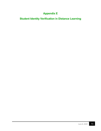# **Appendix E**

<span id="page-50-1"></span><span id="page-50-0"></span>**Student Identity Verification in Distance Learning**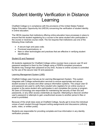# Student Identity Verification in Distance Learning

Chatfield College is in compliance with the provisions of the United States Federal Higher Education Opportunity Act (HEOA) concerning the verification of student identity in online education.

The HEOA requires that institutions offering online education have processes in place to ensure that the student registering for a course is the same student who participates in the course or receives course credit. The Act requires that institutions use one of the following three methods:

- A secure login and pass code;
- Proctored examinations; or
- New or other technologies and practices that are effective in verifying student identification.

#### Student ID and Password

All students registered for Chatfield College online courses have a secure user ID and password assigned to them by the College using a FERPA-compliant procedure. Students may change their password at any time. Access to online courses is controlled by the use of the secure User ID and password.

#### Learning Management System (LMS)

Chatfield College uses Canvas as its Learning Management System. This system integrates with College authentication services to ensure appropriate and secure student access to courses and other campus information systems. The unique User ID and password are used to verify that a student who registers for an online course or program is the same student who participates in and completes the course or program. All users of Schoology are responsible for maintaining the security of their IDs and passwords, or any other access credentials as required. Attempting to discover another user's password or attempts to gain unauthorized access to another person's files or email is prohibited.

Because of the small class sizes at Chatfield College, faculty get to know the individual voices of each student through frequent writing assignments and discussions (utilizing audio, video, or written posts).

Students are responsible for providing complete and true information in any identity verification process.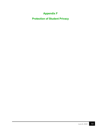# **Appendix F**

<span id="page-52-1"></span><span id="page-52-0"></span>**Protection of Student Privacy**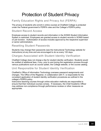# Protection of Student Privacy

### Family Education Rights and Privacy Act (FERPA)

The privacy of students who enroll in online courses at Chatfield College is protected under the Federal government's FERPA rules and the College's FERPA policy.

#### Student Record Access

Employee access to student records and information in the SONIS Student Information System is restricted. Employees are granted access to student records in SONIS based on job function. Authorization of access includes approval by the respective supervisor or senior administrators.

#### Resetting Student Passwords

Students may change their passwords (see the Instructional Technology website for instructions) at any time and are encouraged to do so every 120 days.

#### Charges Associated with Student Identity Verification

Chatfield College does not charge a fee for student identity verification. Students would be notified of additional fees, if any, prior to and during the registration process through various publications such as course syllabi, the College website, or the course catalog.

#### Unit Responsible for Student Identity Verification

Chatfield's Office of Information Technology oversees password assignments and changes. The Office of the Registrar, in collaboration with IT, is responsible for the consistent application of student identity verification procedures as outlined in the college's FERPA policy.

Instructors teaching courses through online education methods are responsible to ensure that their individual courses comply. If necessary, the Chief Academic Officer may address non-compliance through performance reviews or other measures as appropriate.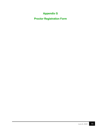# **Appendix G**

<span id="page-54-1"></span><span id="page-54-0"></span>**Proctor Registration Form**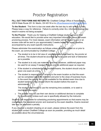# Proctor Registration

**FILL OUT THIS FORM AND RETURN TO:** Chatfield College Office of Assessment 20918 State Route 251 St. Martin, OH 45118 or to officeofassessment@chatfield.edu

**To the Student:** This form is due one week after the last day to add or drop a class. Please keep a copy for reference. Failure to correctly enter ALL information below may result in exams not being accepted.

**To the Proctor:** Thank you for helping a Chatfield College student advance their education. We would like to provide some very important information about the exam proctoring process. For most classes, exam information will be mailed to you or an access code will be sent to you approximately 2 weeks before the exam deadline, accompanied by any exam-specific instructions.

Please administer the examination as follows unless otherwise stated on or prior to the exam, as communicated by Chatfield College:

- The student is to be in full view of, and personally supervised by, the proctor at all times. The student should be accorded as much quiet and lack of distraction as is possible.
- The student is to only use materials specified. However, additional paper may be used for an essay if needed. Please provide additional paper as required.
- If the student is scheduled to take multiple exams, the student should only be given one exam at a time.
- The student is responsible for arriving to the exam location so that the exam can be completed within the time limit and prior to the close of business hours. In the event the proctor will not be available for the allotted exam time due to student tardiness, they should inform the student before the exam is administered.

The student can choose to use the remaining time available, or to seek to reschedule the exam.

• The student may not use their own device or additional devices to complete the examination, unless such use is specifically allowed by the instructor.

Students are responsible for scheduling proctoring appointments so that exams may be overseen by the registered proctor and received by the exam deadline. Exams received late may be assessed a penalty.

If you discover a student cheating on an exam, please retrieve the exam from the student and contact Chatfield College as soon as possible, providing as much detail as possible about the circumstances.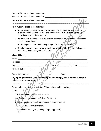Name of Course and course number:  $\blacksquare$ Name of Course and course number: \_\_\_\_\_\_\_\_\_\_\_\_\_\_\_\_\_\_\_\_\_\_\_\_\_\_\_\_\_\_\_\_\_\_\_\_\_\_ Name of Course and course number: \_\_\_\_\_\_\_\_\_\_\_\_\_\_\_\_\_\_\_\_\_\_\_\_\_\_\_\_\_\_\_\_\_\_\_\_\_\_ --------------------------------------------------------------------------------------------------------------------- As a student, I agree to the following: • To be responsible to locate a proctor and to set up an appointment for the midterm and final exams, which are due by the date the exams are being administered to the local students. ● To verify that my proctor lists the mailing address of the educational institution, not a home address. • To be responsible for reimbursing the proctor for mailing expenses. • To take the exams and have my proctor provide them to Chatfield College so they arrive by the assigned due dates. Student Name: **Example 20** Email: \_\_\_\_\_\_\_\_\_\_\_\_\_\_\_\_\_\_\_\_\_\_\_\_\_\_\_\_\_\_\_\_\_\_\_\_\_\_\_\_\_\_\_\_\_\_\_\_\_\_\_\_\_\_\_\_\_\_\_\_\_\_\_ Address: \_\_\_\_\_\_\_\_\_\_\_\_\_\_\_\_\_\_\_\_\_\_\_\_\_\_\_\_\_\_\_\_\_\_\_\_\_\_\_\_\_\_\_\_\_\_\_\_\_\_\_\_\_\_\_\_\_\_\_\_\_ City: \_\_\_\_\_\_\_\_\_\_\_\_\_\_\_\_\_\_\_\_\_\_\_\_\_\_\_\_\_\_\_ State: \_\_\_\_\_\_\_\_\_\_\_ Zip Code: \_\_\_\_\_\_\_\_ Phone Number () Student Signature: **Example 20** Student Signature: **Example 20** Student Signature: **(By signing this form, I, the student, agree and comply with Chatfield College's policies and procedures)**  --------------------------------------------------------------------------------------------------------------------- As a proctor, I agree to the following (Choose the one that applies): I am a:

- ❏ A University or college testing center
- ❏ A National testing center (Sylvan, Prometric)

❏ A High school Principal, guidance counselor or teacher

❏ A Public or academic librarian

❏ A Chatfield Employee (contingent upon approval)